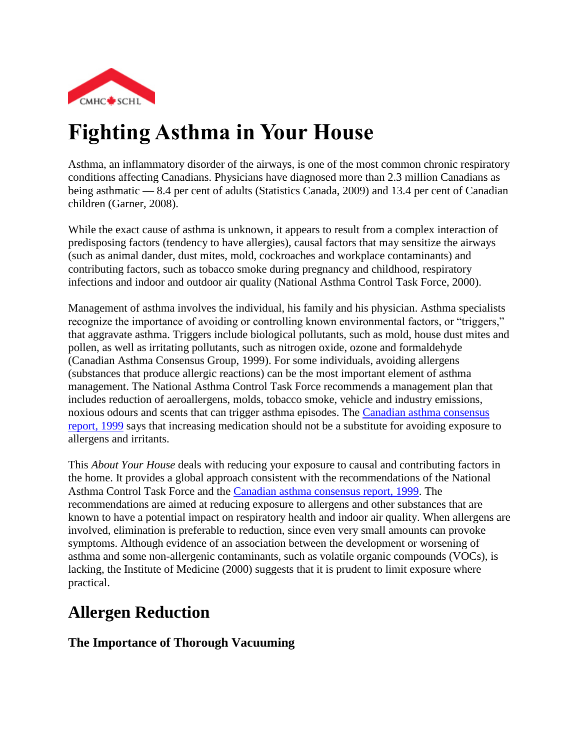

# **Fighting Asthma in Your House**

Asthma, an inflammatory disorder of the airways, is one of the most common chronic respiratory conditions affecting Canadians. Physicians have diagnosed more than 2.3 million Canadians as being asthmatic — 8.4 per cent of adults (Statistics Canada, 2009) and 13.4 per cent of Canadian children (Garner, 2008).

While the exact cause of asthma is unknown, it appears to result from a complex interaction of predisposing factors (tendency to have allergies), causal factors that may sensitize the airways (such as animal dander, dust mites, mold, cockroaches and workplace contaminants) and contributing factors, such as tobacco smoke during pregnancy and childhood, respiratory infections and indoor and outdoor air quality (National Asthma Control Task Force, 2000).

Management of asthma involves the individual, his family and his physician. Asthma specialists recognize the importance of avoiding or controlling known environmental factors, or "triggers," that aggravate asthma. Triggers include biological pollutants, such as mold, house dust mites and pollen, as well as irritating pollutants, such as nitrogen oxide, ozone and formaldehyde (Canadian Asthma Consensus Group, 1999). For some individuals, avoiding allergens (substances that produce allergic reactions) can be the most important element of asthma management. The National Asthma Control Task Force recommends a management plan that includes reduction of aeroallergens, molds, tobacco smoke, vehicle and industry emissions, noxious odours and scents that can trigger asthma episodes. The [Canadian asthma consensus](http://www.cmaj.ca/cgi/reprint/161/11_suppl_1/s1)  [report, 1999](http://www.cmaj.ca/cgi/reprint/161/11_suppl_1/s1) says that increasing medication should not be a substitute for avoiding exposure to allergens and irritants.

This *About Your House* deals with reducing your exposure to causal and contributing factors in the home. It provides a global approach consistent with the recommendations of the National Asthma Control Task Force and the [Canadian asthma consensus report, 1999.](http://www.cmaj.ca/cgi/reprint/161/11_suppl_1/s1) The recommendations are aimed at reducing exposure to allergens and other substances that are known to have a potential impact on respiratory health and indoor air quality. When allergens are involved, elimination is preferable to reduction, since even very small amounts can provoke symptoms. Although evidence of an association between the development or worsening of asthma and some non-allergenic contaminants, such as volatile organic compounds (VOCs), is lacking, the Institute of Medicine (2000) suggests that it is prudent to limit exposure where practical.

### **Allergen Reduction**

#### **The Importance of Thorough Vacuuming**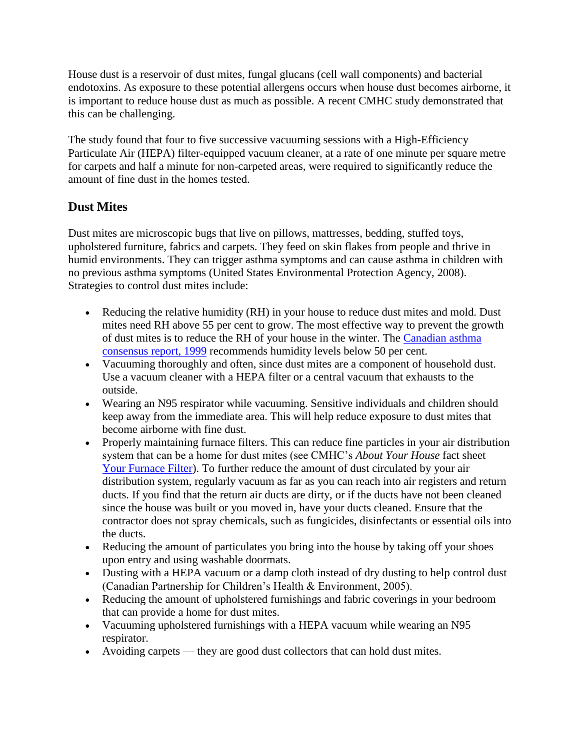House dust is a reservoir of dust mites, fungal glucans (cell wall components) and bacterial endotoxins. As exposure to these potential allergens occurs when house dust becomes airborne, it is important to reduce house dust as much as possible. A recent CMHC study demonstrated that this can be challenging.

The study found that four to five successive vacuuming sessions with a High-Efficiency Particulate Air (HEPA) filter-equipped vacuum cleaner, at a rate of one minute per square metre for carpets and half a minute for non-carpeted areas, were required to significantly reduce the amount of fine dust in the homes tested.

#### **Dust Mites**

Dust mites are microscopic bugs that live on pillows, mattresses, bedding, stuffed toys, upholstered furniture, fabrics and carpets. They feed on skin flakes from people and thrive in humid environments. They can trigger asthma symptoms and can cause asthma in children with no previous asthma symptoms (United States Environmental Protection Agency, 2008). Strategies to control dust mites include:

- Reducing the relative humidity (RH) in your house to reduce dust mites and mold. Dust mites need RH above 55 per cent to grow. The most effective way to prevent the growth of dust mites is to reduce the RH of your house in the winter. The [Canadian asthma](http://www.cmaj.ca/cgi/reprint/161/11_suppl_1/s1)  [consensus report, 1999](http://www.cmaj.ca/cgi/reprint/161/11_suppl_1/s1) recommends humidity levels below 50 per cent.
- Vacuuming thoroughly and often, since dust mites are a component of household dust. Use a vacuum cleaner with a HEPA filter or a central vacuum that exhausts to the outside.
- Wearing an N95 respirator while vacuuming. Sensitive individuals and children should keep away from the immediate area. This will help reduce exposure to dust mites that become airborne with fine dust.
- Properly maintaining furnace filters. This can reduce fine particles in your air distribution system that can be a home for dust mites (see CMHC's *About Your House* fact sheet [Your Furnace Filter\)](http://www.cmhc-schl.gc.ca/en/co/maho/gemare/gemare_008.cfm). To further reduce the amount of dust circulated by your air distribution system, regularly vacuum as far as you can reach into air registers and return ducts. If you find that the return air ducts are dirty, or if the ducts have not been cleaned since the house was built or you moved in, have your ducts cleaned. Ensure that the contractor does not spray chemicals, such as fungicides, disinfectants or essential oils into the ducts.
- Reducing the amount of particulates you bring into the house by taking off your shoes upon entry and using washable doormats.
- Dusting with a HEPA vacuum or a damp cloth instead of dry dusting to help control dust (Canadian Partnership for Children's Health & Environment, 2005).
- Reducing the amount of upholstered furnishings and fabric coverings in your bedroom that can provide a home for dust mites.
- Vacuuming upholstered furnishings with a HEPA vacuum while wearing an N95 respirator.
- Avoiding carpets they are good dust collectors that can hold dust mites.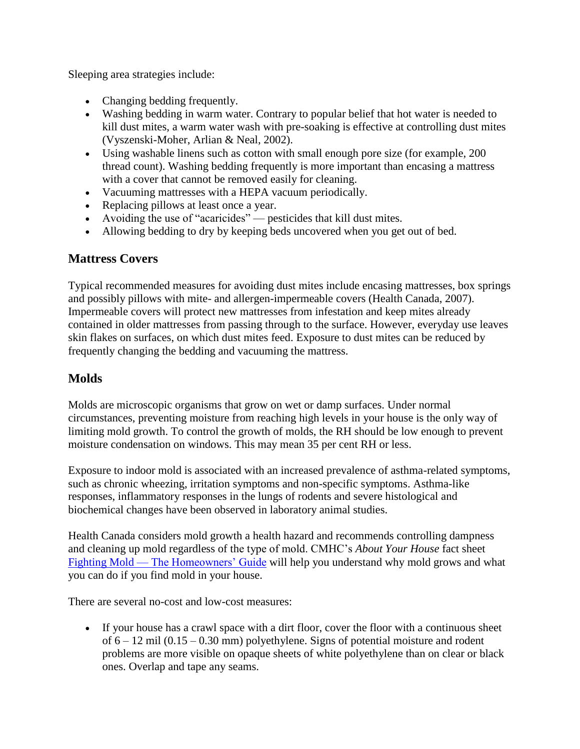Sleeping area strategies include:

- Changing bedding frequently.
- Washing bedding in warm water. Contrary to popular belief that hot water is needed to kill dust mites, a warm water wash with pre-soaking is effective at controlling dust mites (Vyszenski-Moher, Arlian & Neal, 2002).
- Using washable linens such as cotton with small enough pore size (for example, 200 thread count). Washing bedding frequently is more important than encasing a mattress with a cover that cannot be removed easily for cleaning.
- Vacuuming mattresses with a HEPA vacuum periodically.
- Replacing pillows at least once a year.
- Avoiding the use of "acaricides" pesticides that kill dust mites.
- Allowing bedding to dry by keeping beds uncovered when you get out of bed.

#### **Mattress Covers**

Typical recommended measures for avoiding dust mites include encasing mattresses, box springs and possibly pillows with mite- and allergen-impermeable covers (Health Canada, 2007). Impermeable covers will protect new mattresses from infestation and keep mites already contained in older mattresses from passing through to the surface. However, everyday use leaves skin flakes on surfaces, on which dust mites feed. Exposure to dust mites can be reduced by frequently changing the bedding and vacuuming the mattress.

#### **Molds**

Molds are microscopic organisms that grow on wet or damp surfaces. Under normal circumstances, preventing moisture from reaching high levels in your house is the only way of limiting mold growth. To control the growth of molds, the RH should be low enough to prevent moisture condensation on windows. This may mean 35 per cent RH or less.

Exposure to indoor mold is associated with an increased prevalence of asthma-related symptoms, such as chronic wheezing, irritation symptoms and non-specific symptoms. Asthma-like responses, inflammatory responses in the lungs of rodents and severe histological and biochemical changes have been observed in laboratory animal studies.

Health Canada considers mold growth a health hazard and recommends controlling dampness and cleaning up mold regardless of the type of mold. CMHC's *About Your House* fact sheet Fighting Mold — [The Homeowners' Guide](http://www.cmhc-schl.gc.ca/en/co/maho/yohoyohe/momo/momo_005.cfm) will help you understand why mold grows and what you can do if you find mold in your house.

There are several no-cost and low-cost measures:

 If your house has a crawl space with a dirt floor, cover the floor with a continuous sheet of 6 – 12 mil (0.15 – 0.30 mm) polyethylene. Signs of potential moisture and rodent problems are more visible on opaque sheets of white polyethylene than on clear or black ones. Overlap and tape any seams.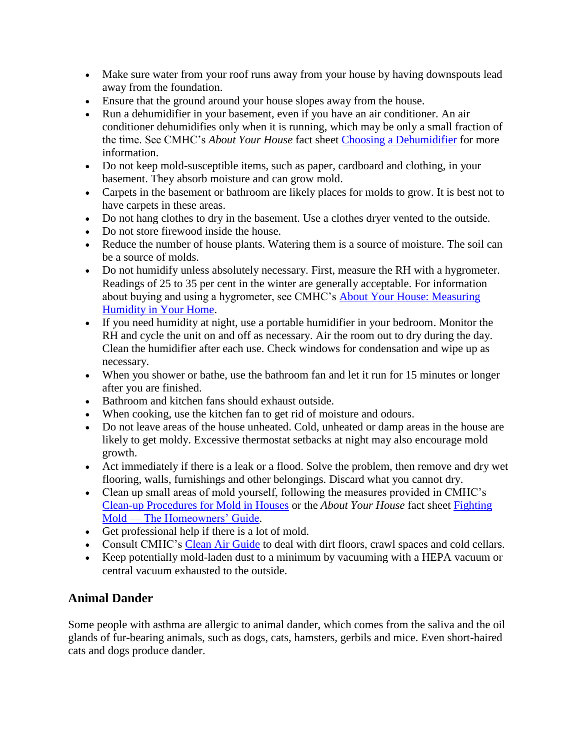- Make sure water from your roof runs away from your house by having downspouts lead away from the foundation.
- Ensure that the ground around your house slopes away from the house.
- Run a dehumidifier in your basement, even if you have an air conditioner. An air conditioner dehumidifies only when it is running, which may be only a small fraction of the time. See CMHC's *About Your House* fact sheet [Choosing a Dehumidifier](http://www.cmhc-schl.gc.ca/en/co/maho/yohoyohe/momo/momo_001.cfm) for more information.
- Do not keep mold-susceptible items, such as paper, cardboard and clothing, in your basement. They absorb moisture and can grow mold.
- Carpets in the basement or bathroom are likely places for molds to grow. It is best not to have carpets in these areas.
- Do not hang clothes to dry in the basement. Use a clothes dryer vented to the outside.
- Do not store firewood inside the house.
- Reduce the number of house plants. Watering them is a source of moisture. The soil can be a source of molds.
- Do not humidify unless absolutely necessary. First, measure the RH with a hygrometer. Readings of 25 to 35 per cent in the winter are generally acceptable. For information about buying and using a hygrometer, see CMHC's [About Your House: Measuring](http://www.cmhc-schl.gc.ca/en/co/maho/yohoyohe/momo/momo_002.cfm)  [Humidity in Your Home.](http://www.cmhc-schl.gc.ca/en/co/maho/yohoyohe/momo/momo_002.cfm)
- If you need humidity at night, use a portable humidifier in your bedroom. Monitor the RH and cycle the unit on and off as necessary. Air the room out to dry during the day. Clean the humidifier after each use. Check windows for condensation and wipe up as necessary.
- When you shower or bathe, use the bathroom fan and let it run for 15 minutes or longer after you are finished.
- Bathroom and kitchen fans should exhaust outside.
- When cooking, use the kitchen fan to get rid of moisture and odours.
- Do not leave areas of the house unheated. Cold, unheated or damp areas in the house are likely to get moldy. Excessive thermostat setbacks at night may also encourage mold growth.
- Act immediately if there is a leak or a flood. Solve the problem, then remove and dry wet flooring, walls, furnishings and other belongings. Discard what you cannot dry.
- Clean up small areas of mold yourself, following the measures provided in CMHC's [Clean-up Procedures for Mold in Houses](http://www.cmhc.ca/od/?pid=61091) or the *About Your House* fact sheet [Fighting](http://www.cmhc-schl.gc.ca/en/co/maho/yohoyohe/momo/momo_005.cfm)  Mold — [The Homeowners' Guide.](http://www.cmhc-schl.gc.ca/en/co/maho/yohoyohe/momo/momo_005.cfm)
- Get professional help if there is a lot of mold.
- Consult CMHC's [Clean Air Guide](http://www.cmhc.ca/od/?pid=61082) to deal with dirt floors, crawl spaces and cold cellars.
- Keep potentially mold-laden dust to a minimum by vacuuming with a HEPA vacuum or central vacuum exhausted to the outside.

#### **Animal Dander**

Some people with asthma are allergic to animal dander, which comes from the saliva and the oil glands of fur-bearing animals, such as dogs, cats, hamsters, gerbils and mice. Even short-haired cats and dogs produce dander.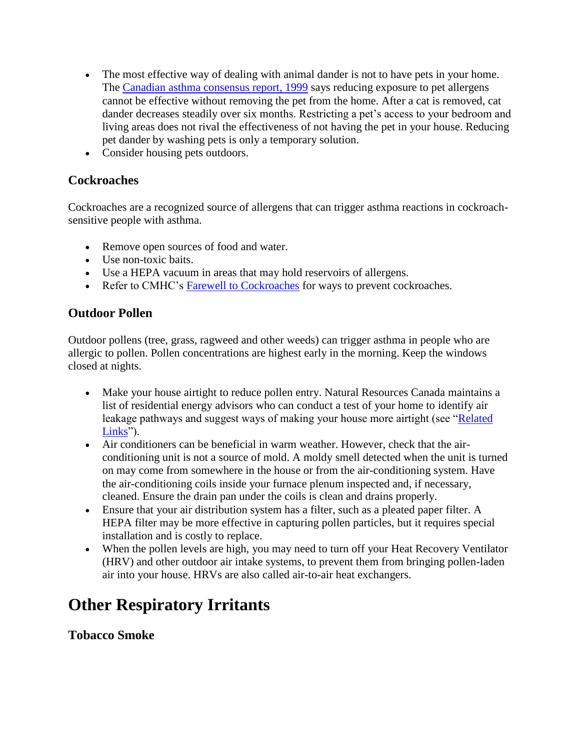- The most effective way of dealing with animal dander is not to have pets in your home. The [Canadian asthma consensus report, 1999](http://www.cmaj.ca/cgi/reprint/161/11_suppl_1/s1) says reducing exposure to pet allergens cannot be effective without removing the pet from the home. After a cat is removed, cat dander decreases steadily over six months. Restricting a pet's access to your bedroom and living areas does not rival the effectiveness of not having the pet in your house. Reducing pet dander by washing pets is only a temporary solution.
- Consider housing pets outdoors.

#### **Cockroaches**

Cockroaches are a recognized source of allergens that can trigger asthma reactions in cockroachsensitive people with asthma.

- Remove open sources of food and water.
- Use non-toxic baits.
- Use a HEPA vacuum in areas that may hold reservoirs of allergens.
- Refer to CMHC's [Farewell to Cockroaches](http://www.cmhc-schl.gc.ca/en/co/maho/gemare/faco/index.cfm) for ways to prevent cockroaches.

#### **Outdoor Pollen**

Outdoor pollens (tree, grass, ragweed and other weeds) can trigger asthma in people who are allergic to pollen. Pollen concentrations are highest early in the morning. Keep the windows closed at nights.

- Make your house airtight to reduce pollen entry. Natural Resources Canada maintains a list of residential energy advisors who can conduct a test of your home to identify air leakage pathways and suggest ways of making your house more airtight (see ["Related](http://www.cmhc-schl.gc.ca/en/co/maho/yohoyohe/inaiqu/inaiqu_005.cfm#Related)  [Links"](http://www.cmhc-schl.gc.ca/en/co/maho/yohoyohe/inaiqu/inaiqu_005.cfm#Related)).
- Air conditioners can be beneficial in warm weather. However, check that the airconditioning unit is not a source of mold. A moldy smell detected when the unit is turned on may come from somewhere in the house or from the air-conditioning system. Have the air-conditioning coils inside your furnace plenum inspected and, if necessary, cleaned. Ensure the drain pan under the coils is clean and drains properly.
- Ensure that your air distribution system has a filter, such as a pleated paper filter. A HEPA filter may be more effective in capturing pollen particles, but it requires special installation and is costly to replace.
- When the pollen levels are high, you may need to turn off your Heat Recovery Ventilator (HRV) and other outdoor air intake systems, to prevent them from bringing pollen-laden air into your house. HRVs are also called air-to-air heat exchangers.

### **Other Respiratory Irritants**

#### **Tobacco Smoke**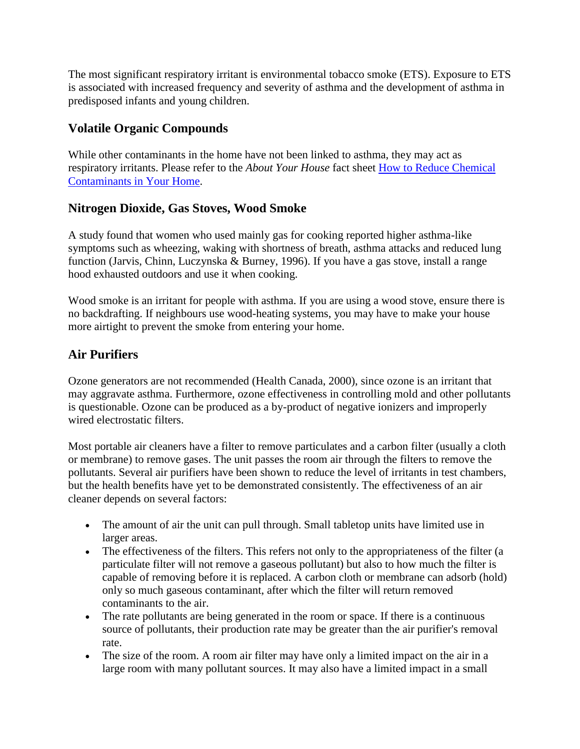The most significant respiratory irritant is environmental tobacco smoke (ETS). Exposure to ETS is associated with increased frequency and severity of asthma and the development of asthma in predisposed infants and young children.

#### **Volatile Organic Compounds**

While other contaminants in the home have not been linked to asthma, they may act as respiratory irritants. Please refer to the *About Your House* fact sheet [How to Reduce Chemical](http://www.cmhc-schl.gc.ca/en/co/maho/yohoyohe/inaiqu/inaiqu_006.cfm)  [Contaminants in Your Home.](http://www.cmhc-schl.gc.ca/en/co/maho/yohoyohe/inaiqu/inaiqu_006.cfm)

#### **Nitrogen Dioxide, Gas Stoves, Wood Smoke**

A study found that women who used mainly gas for cooking reported higher asthma-like symptoms such as wheezing, waking with shortness of breath, asthma attacks and reduced lung function (Jarvis, Chinn, Luczynska & Burney, 1996). If you have a gas stove, install a range hood exhausted outdoors and use it when cooking.

Wood smoke is an irritant for people with asthma. If you are using a wood stove, ensure there is no backdrafting. If neighbours use wood-heating systems, you may have to make your house more airtight to prevent the smoke from entering your home.

#### **Air Purifiers**

Ozone generators are not recommended (Health Canada, 2000), since ozone is an irritant that may aggravate asthma. Furthermore, ozone effectiveness in controlling mold and other pollutants is questionable. Ozone can be produced as a by-product of negative ionizers and improperly wired electrostatic filters.

Most portable air cleaners have a filter to remove particulates and a carbon filter (usually a cloth or membrane) to remove gases. The unit passes the room air through the filters to remove the pollutants. Several air purifiers have been shown to reduce the level of irritants in test chambers, but the health benefits have yet to be demonstrated consistently. The effectiveness of an air cleaner depends on several factors:

- The amount of air the unit can pull through. Small tabletop units have limited use in larger areas.
- The effectiveness of the filters. This refers not only to the appropriateness of the filter (a particulate filter will not remove a gaseous pollutant) but also to how much the filter is capable of removing before it is replaced. A carbon cloth or membrane can adsorb (hold) only so much gaseous contaminant, after which the filter will return removed contaminants to the air.
- The rate pollutants are being generated in the room or space. If there is a continuous source of pollutants, their production rate may be greater than the air purifier's removal rate.
- The size of the room. A room air filter may have only a limited impact on the air in a large room with many pollutant sources. It may also have a limited impact in a small